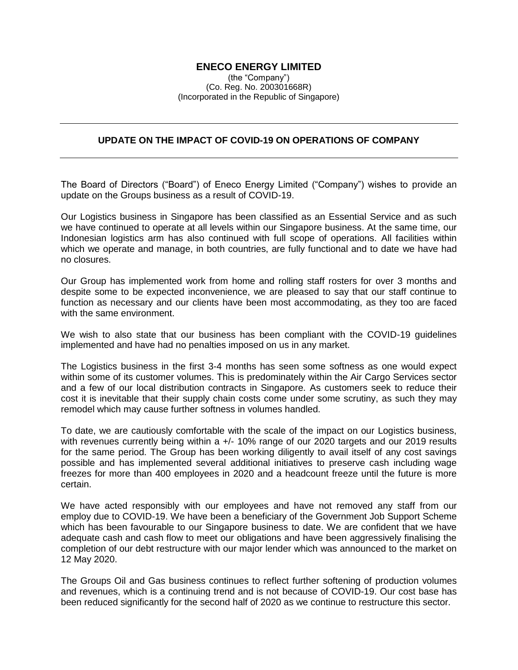## **ENECO ENERGY LIMITED**

(the "Company") (Co. Reg. No. 200301668R) (Incorporated in the Republic of Singapore)

## **UPDATE ON THE IMPACT OF COVID-19 ON OPERATIONS OF COMPANY**

The Board of Directors ("Board") of Eneco Energy Limited ("Company") wishes to provide an update on the Groups business as a result of COVID-19.

Our Logistics business in Singapore has been classified as an Essential Service and as such we have continued to operate at all levels within our Singapore business. At the same time, our Indonesian logistics arm has also continued with full scope of operations. All facilities within which we operate and manage, in both countries, are fully functional and to date we have had no closures.

Our Group has implemented work from home and rolling staff rosters for over 3 months and despite some to be expected inconvenience, we are pleased to say that our staff continue to function as necessary and our clients have been most accommodating, as they too are faced with the same environment.

We wish to also state that our business has been compliant with the COVID-19 guidelines implemented and have had no penalties imposed on us in any market.

The Logistics business in the first 3-4 months has seen some softness as one would expect within some of its customer volumes. This is predominately within the Air Cargo Services sector and a few of our local distribution contracts in Singapore. As customers seek to reduce their cost it is inevitable that their supply chain costs come under some scrutiny, as such they may remodel which may cause further softness in volumes handled.

To date, we are cautiously comfortable with the scale of the impact on our Logistics business, with revenues currently being within a +/- 10% range of our 2020 targets and our 2019 results for the same period. The Group has been working diligently to avail itself of any cost savings possible and has implemented several additional initiatives to preserve cash including wage freezes for more than 400 employees in 2020 and a headcount freeze until the future is more certain.

We have acted responsibly with our employees and have not removed any staff from our employ due to COVID-19. We have been a beneficiary of the Government Job Support Scheme which has been favourable to our Singapore business to date. We are confident that we have adequate cash and cash flow to meet our obligations and have been aggressively finalising the completion of our debt restructure with our major lender which was announced to the market on 12 May 2020.

The Groups Oil and Gas business continues to reflect further softening of production volumes and revenues, which is a continuing trend and is not because of COVID-19. Our cost base has been reduced significantly for the second half of 2020 as we continue to restructure this sector.